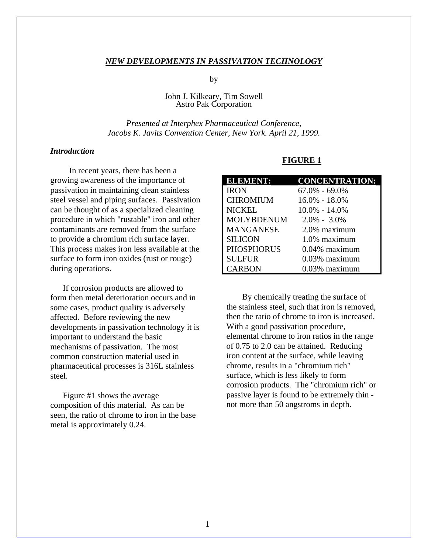#### *NEW DEVELOPMENTS IN PASSIVATION TECHNOLOGY*

by

### John J. Kilkeary, Tim Sowell Astro Pak Corporation

## *Presented at Interphex Pharmaceutical Conference, Jacobs K. Javits Convention Center, New York. April 21, 1999.*

## *Introduction*

 In recent years, there has been a growing awareness of the importance of passivation in maintaining clean stainless steel vessel and piping surfaces. Passivation can be thought of as a specialized cleaning procedure in which "rustable" iron and other contaminants are removed from the surface to provide a chromium rich surface layer. This process makes iron less available at the surface to form iron oxides (rust or rouge) during operations.

 If corrosion products are allowed to form then metal deterioration occurs and in some cases, product quality is adversely affected. Before reviewing the new developments in passivation technology it is important to understand the basic mechanisms of passivation. The most common construction material used in pharmaceutical processes is 316L stainless steel.

 Figure #1 shows the average composition of this material. As can be seen, the ratio of chrome to iron in the base metal is approximately 0.24.

#### **FIGURE 1**

| <b>ELEMENT:</b>   | <b>CONCENTRATION:</b> |
|-------------------|-----------------------|
| <b>IRON</b>       | $67.0\% - 69.0\%$     |
| <b>CHROMIUM</b>   | 16.0% - 18.0%         |
| <b>NICKEL</b>     | $10.0\% - 14.0\%$     |
| <b>MOLYBDENUM</b> | $2.0\% - 3.0\%$       |
| <b>MANGANESE</b>  | 2.0% maximum          |
| <b>SILICON</b>    | 1.0% maximum          |
| <b>PHOSPHORUS</b> | $0.04\%$ maximum      |
| <b>SULFUR</b>     | 0.03% maximum         |
| <b>CARBON</b>     | $0.03\%$ maximum      |
|                   |                       |

 By chemically treating the surface of the stainless steel, such that iron is removed, then the ratio of chrome to iron is increased. With a good passivation procedure, elemental chrome to iron ratios in the range of 0.75 to 2.0 can be attained. Reducing iron content at the surface, while leaving chrome, results in a "chromium rich" surface, which is less likely to form corrosion products. The "chromium rich" or passive layer is found to be extremely thin not more than 50 angstroms in depth.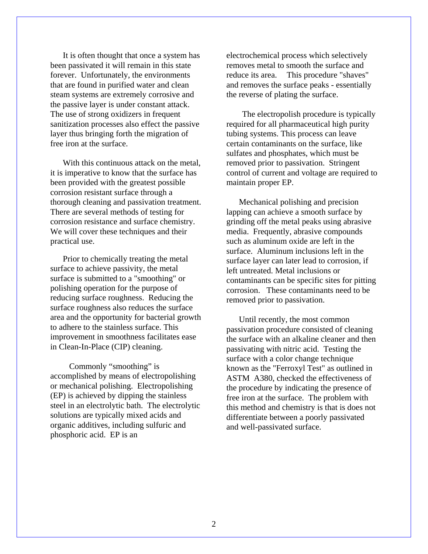It is often thought that once a system has been passivated it will remain in this state forever. Unfortunately, the environments that are found in purified water and clean steam systems are extremely corrosive and the passive layer is under constant attack. The use of strong oxidizers in frequent sanitization processes also effect the passive layer thus bringing forth the migration of free iron at the surface.

With this continuous attack on the metal. it is imperative to know that the surface has been provided with the greatest possible corrosion resistant surface through a thorough cleaning and passivation treatment. There are several methods of testing for corrosion resistance and surface chemistry. We will cover these techniques and their practical use.

 Prior to chemically treating the metal surface to achieve passivity, the metal surface is submitted to a "smoothing" or polishing operation for the purpose of reducing surface roughness. Reducing the surface roughness also reduces the surface area and the opportunity for bacterial growth to adhere to the stainless surface. This improvement in smoothness facilitates ease in Clean-In-Place (CIP) cleaning.

 Commonly "smoothing" is accomplished by means of electropolishing or mechanical polishing. Electropolishing (EP) is achieved by dipping the stainless steel in an electrolytic bath. The electrolytic solutions are typically mixed acids and organic additives, including sulfuric and phosphoric acid. EP is an

electrochemical process which selectively removes metal to smooth the surface and reduce its area. This procedure "shaves" and removes the surface peaks - essentially the reverse of plating the surface.

 The electropolish procedure is typically required for all pharmaceutical high purity tubing systems. This process can leave certain contaminants on the surface, like sulfates and phosphates, which must be removed prior to passivation. Stringent control of current and voltage are required to maintain proper EP.

 Mechanical polishing and precision lapping can achieve a smooth surface by grinding off the metal peaks using abrasive media. Frequently, abrasive compounds such as aluminum oxide are left in the surface. Aluminum inclusions left in the surface layer can later lead to corrosion, if left untreated. Metal inclusions or contaminants can be specific sites for pitting corrosion. These contaminants need to be removed prior to passivation.

 Until recently, the most common passivation procedure consisted of cleaning the surface with an alkaline cleaner and then passivating with nitric acid. Testing the surface with a color change technique known as the "Ferroxyl Test" as outlined in ASTM A380, checked the effectiveness of the procedure by indicating the presence of free iron at the surface. The problem with this method and chemistry is that is does not differentiate between a poorly passivated and well-passivated surface.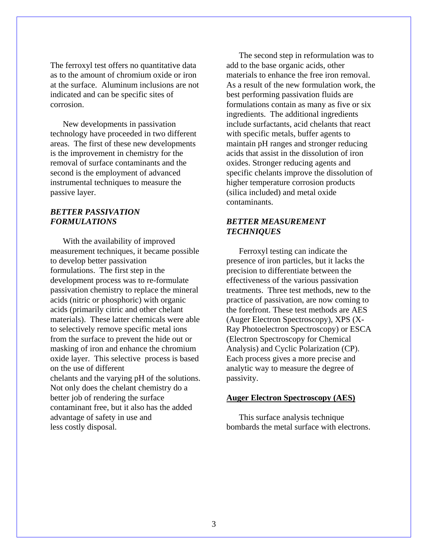The ferroxyl test offers no quantitative data as to the amount of chromium oxide or iron at the surface. Aluminum inclusions are not indicated and can be specific sites of corrosion.

 New developments in passivation technology have proceeded in two different areas. The first of these new developments is the improvement in chemistry for the removal of surface contaminants and the second is the employment of advanced instrumental techniques to measure the passive layer.

## *BETTER PASSIVATION FORMULATIONS*

 With the availability of improved measurement techniques, it became possible to develop better passivation formulations. The first step in the development process was to re-formulate passivation chemistry to replace the mineral acids (nitric or phosphoric) with organic acids (primarily citric and other chelant materials). These latter chemicals were able to selectively remove specific metal ions from the surface to prevent the hide out or masking of iron and enhance the chromium oxide layer. This selective process is based on the use of different chelants and the varying pH of the solutions. Not only does the chelant chemistry do a better job of rendering the surface contaminant free, but it also has the added advantage of safety in use and less costly disposal.

 The second step in reformulation was to add to the base organic acids, other materials to enhance the free iron removal. As a result of the new formulation work, the best performing passivation fluids are formulations contain as many as five or six ingredients. The additional ingredients include surfactants, acid chelants that react with specific metals, buffer agents to maintain pH ranges and stronger reducing acids that assist in the dissolution of iron oxides. Stronger reducing agents and specific chelants improve the dissolution of higher temperature corrosion products (silica included) and metal oxide contaminants.

# *BETTER MEASUREMENT TECHNIQUES*

 Ferroxyl testing can indicate the presence of iron particles, but it lacks the precision to differentiate between the effectiveness of the various passivation treatments. Three test methods, new to the practice of passivation, are now coming to the forefront. These test methods are AES (Auger Electron Spectroscopy), XPS (X-Ray Photoelectron Spectroscopy) or ESCA (Electron Spectroscopy for Chemical Analysis) and Cyclic Polarization (CP). Each process gives a more precise and analytic way to measure the degree of passivity.

## **Auger Electron Spectroscopy (AES)**

 This surface analysis technique bombards the metal surface with electrons.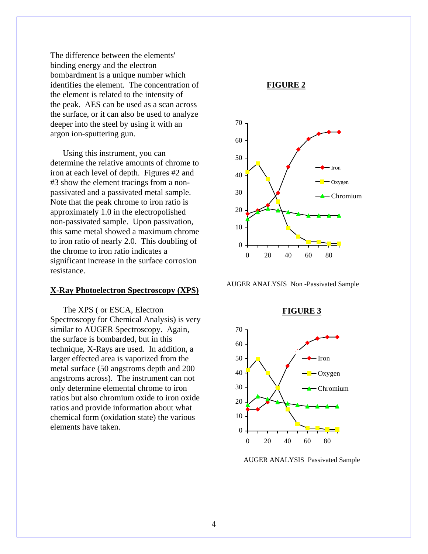The difference between the elements' binding energy and the electron bombardment is a unique number which identifies the element. The concentration of the element is related to the intensity of the peak. AES can be used as a scan across the surface, or it can also be used to analyze deeper into the steel by using it with an argon ion-sputtering gun.

 Using this instrument, you can determine the relative amounts of chrome to iron at each level of depth. Figures #2 and #3 show the element tracings from a nonpassivated and a passivated metal sample. Note that the peak chrome to iron ratio is approximately 1.0 in the electropolished non-passivated sample. Upon passivation, this same metal showed a maximum chrome to iron ratio of nearly 2.0. This doubling of the chrome to iron ratio indicates a significant increase in the surface corrosion resistance.

#### **X-Ray Photoelectron Spectroscopy (XPS)**

 The XPS ( or ESCA, Electron Spectroscopy for Chemical Analysis) is very similar to AUGER Spectroscopy. Again, the surface is bombarded, but in this technique, X-Rays are used. In addition, a larger effected area is vaporized from the metal surface (50 angstroms depth and 200 angstroms across). The instrument can not only determine elemental chrome to iron ratios but also chromium oxide to iron oxide ratios and provide information about what chemical form (oxidation state) the various elements have taken.



AUGER ANALYSIS Non -Passivated Sample



AUGER ANALYSIS Passivated Sample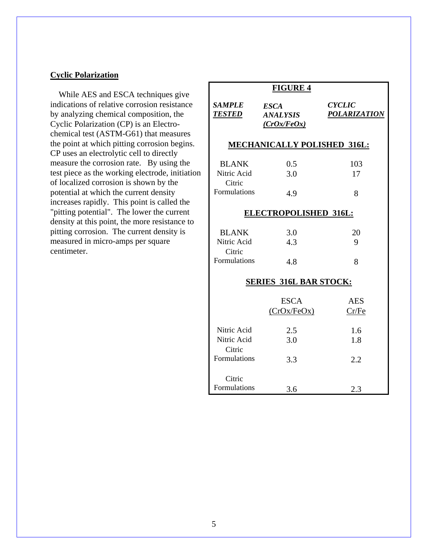# **Cyclic Polarization**

 While AES and ESCA techniques give indications of relative corrosion resistance by analyzing chemical composition, the Cyclic Polarization (CP) is an Electrochemical test (ASTM-G61) that measures the point at which pitting corrosion begins. CP uses an electrolytic cell to directly measure the corrosion rate. By using the test piece as the working electrode, initiation of localized corrosion is shown by the potential at which the current density increases rapidly. This point is called the "pitting potential". The lower the current density at this point, the more resistance to pitting corrosion. The current density is measured in micro-amps per square centimeter.

| <b>FIGURE 4</b>                                              |                                                      |                                      |
|--------------------------------------------------------------|------------------------------------------------------|--------------------------------------|
| <b>SAMPLE</b><br><i><b>TESTED</b></i>                        | <b>ESCA</b><br><i><b>ANALYSIS</b></i><br>(CrOx/FeOx) | <b>CYCLIC</b><br><b>POLARIZATION</b> |
| <b>MECHANICALLY POLISHED 316L:</b>                           |                                                      |                                      |
| <b>BLANK</b><br>Nitric Acid<br>Citric<br>Formulations        | 0.5<br>3.0<br>4.9                                    | 103<br>17<br>8                       |
| <b>ELECTROPOLISHED 316L:</b>                                 |                                                      |                                      |
| <b>BLANK</b><br>Nitric Acid<br>Citric<br><b>Formulations</b> | 3.0<br>4.3<br>4.8                                    | 20<br>9<br>8                         |
| <b>SERIES 316L BAR STOCK:</b>                                |                                                      |                                      |
|                                                              | <b>ESCA</b><br>(CrOx/FeOx)                           | <b>AES</b><br>Cr/Fe                  |
| Nitric Acid<br>Nitric Acid<br>Citric                         | 2.5<br>3.0                                           | 1.6<br>1.8                           |
| <b>Formulations</b>                                          | 3.3                                                  | 2.2                                  |
| Citric<br>Formulations                                       | 3.6                                                  | 2.3                                  |